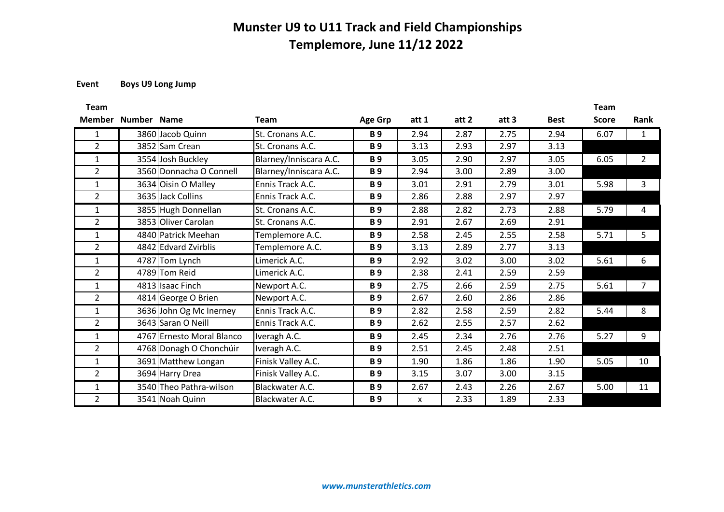**Event Boys U9 Long Jump**

| <b>Team</b>    |             |                           |                        |                       |       |       |       |             | <b>Team</b>  |                |
|----------------|-------------|---------------------------|------------------------|-----------------------|-------|-------|-------|-------------|--------------|----------------|
| <b>Member</b>  | Number Name |                           | <b>Team</b>            | <b>Age Grp</b>        | att 1 | att 2 | att 3 | <b>Best</b> | <b>Score</b> | <b>Rank</b>    |
| $\mathbf{1}$   |             | 3860 Jacob Quinn          | St. Cronans A.C.       | <b>B</b> <sub>9</sub> | 2.94  | 2.87  | 2.75  | 2.94        | 6.07         | $\mathbf{1}$   |
| $\overline{2}$ |             | 3852 Sam Crean            | St. Cronans A.C.       | <b>B</b> <sub>9</sub> | 3.13  | 2.93  | 2.97  | 3.13        |              |                |
| $\mathbf{1}$   |             | 3554 Josh Buckley         | Blarney/Inniscara A.C. | <b>B</b> <sub>9</sub> | 3.05  | 2.90  | 2.97  | 3.05        | 6.05         | $\overline{2}$ |
| $\overline{2}$ |             | 3560 Donnacha O Connell   | Blarney/Inniscara A.C. | <b>B</b> <sub>9</sub> | 2.94  | 3.00  | 2.89  | 3.00        |              |                |
| $\mathbf{1}$   |             | 3634 Oisin O Malley       | Ennis Track A.C.       | <b>B</b> <sub>9</sub> | 3.01  | 2.91  | 2.79  | 3.01        | 5.98         | 3              |
| $\overline{2}$ |             | 3635 Jack Collins         | Ennis Track A.C.       | <b>B</b> <sub>9</sub> | 2.86  | 2.88  | 2.97  | 2.97        |              |                |
| $\mathbf{1}$   |             | 3855 Hugh Donnellan       | St. Cronans A.C.       | <b>B</b> <sub>9</sub> | 2.88  | 2.82  | 2.73  | 2.88        | 5.79         | 4              |
| $\overline{2}$ |             | 3853 Oliver Carolan       | St. Cronans A.C.       | <b>B</b> <sub>9</sub> | 2.91  | 2.67  | 2.69  | 2.91        |              |                |
| $\mathbf{1}$   |             | 4840 Patrick Meehan       | Templemore A.C.        | <b>B</b> <sub>9</sub> | 2.58  | 2.45  | 2.55  | 2.58        | 5.71         | 5              |
| $\overline{2}$ |             | 4842 Edvard Zvirblis      | Templemore A.C.        | <b>B</b> <sub>9</sub> | 3.13  | 2.89  | 2.77  | 3.13        |              |                |
| $\mathbf{1}$   |             | 4787 Tom Lynch            | Limerick A.C.          | <b>B</b> <sub>9</sub> | 2.92  | 3.02  | 3.00  | 3.02        | 5.61         | 6              |
| $\overline{2}$ |             | 4789 Tom Reid             | Limerick A.C.          | <b>B</b> <sub>9</sub> | 2.38  | 2.41  | 2.59  | 2.59        |              |                |
| $\mathbf{1}$   |             | 4813 Isaac Finch          | Newport A.C.           | <b>B</b> <sub>9</sub> | 2.75  | 2.66  | 2.59  | 2.75        | 5.61         | $\overline{7}$ |
| $\overline{2}$ |             | 4814 George O Brien       | Newport A.C.           | <b>B</b> <sub>9</sub> | 2.67  | 2.60  | 2.86  | 2.86        |              |                |
| $\mathbf{1}$   |             | 3636 John Og Mc Inerney   | Ennis Track A.C.       | <b>B</b> <sub>9</sub> | 2.82  | 2.58  | 2.59  | 2.82        | 5.44         | 8              |
| $\overline{2}$ |             | 3643 Saran O Neill        | Ennis Track A.C.       | <b>B</b> <sub>9</sub> | 2.62  | 2.55  | 2.57  | 2.62        |              |                |
| $\mathbf{1}$   |             | 4767 Ernesto Moral Blanco | Iveragh A.C.           | <b>B</b> <sub>9</sub> | 2.45  | 2.34  | 2.76  | 2.76        | 5.27         | 9              |
| $\overline{2}$ |             | 4768 Donagh O Chonchúir   | Iveragh A.C.           | <b>B</b> <sub>9</sub> | 2.51  | 2.45  | 2.48  | 2.51        |              |                |
| $\mathbf{1}$   |             | 3691 Matthew Longan       | Finisk Valley A.C.     | <b>B</b> <sub>9</sub> | 1.90  | 1.86  | 1.86  | 1.90        | 5.05         | 10             |
| $\overline{2}$ |             | 3694 Harry Drea           | Finisk Valley A.C.     | <b>B</b> <sub>9</sub> | 3.15  | 3.07  | 3.00  | 3.15        |              |                |
| 1              |             | 3540 Theo Pathra-wilson   | Blackwater A.C.        | <b>B</b> <sub>9</sub> | 2.67  | 2.43  | 2.26  | 2.67        | 5.00         | 11             |
| $\overline{2}$ |             | 3541 Noah Quinn           | Blackwater A.C.        | <b>B</b> <sub>9</sub> | x     | 2.33  | 1.89  | 2.33        |              |                |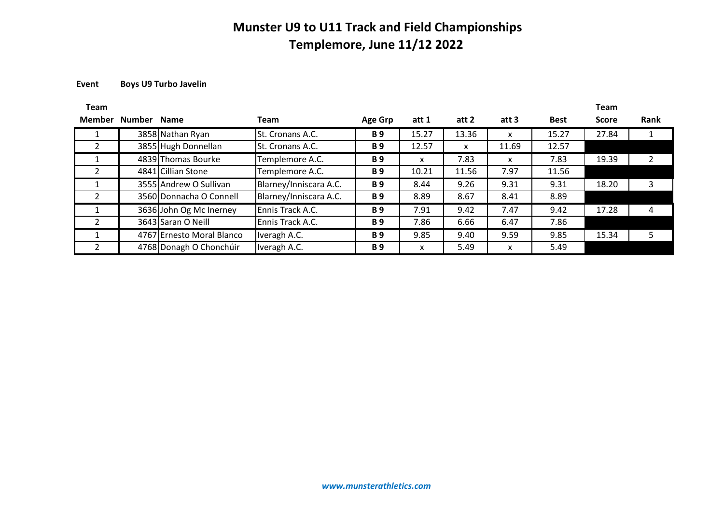### **Event Boys U9 Turbo Javelin**

| <b>Team</b>   |        |                           |                        |                       |       |       |       |             | <b>Team</b>  |      |
|---------------|--------|---------------------------|------------------------|-----------------------|-------|-------|-------|-------------|--------------|------|
| <b>Member</b> | Number | <b>Name</b>               | <b>Team</b>            | <b>Age Grp</b>        | att 1 | att 2 | att 3 | <b>Best</b> | <b>Score</b> | Rank |
|               |        | 3858 Nathan Ryan          | St. Cronans A.C.       | <b>B</b> <sub>9</sub> | 15.27 | 13.36 | x     | 15.27       | 27.84        |      |
|               |        | 3855 Hugh Donnellan       | St. Cronans A.C.       | <b>B</b> <sub>9</sub> | 12.57 | x     | 11.69 | 12.57       |              |      |
|               |        | 4839 Thomas Bourke        | Templemore A.C.        | <b>B</b> <sub>9</sub> | x     | 7.83  | x     | 7.83        | 19.39        |      |
|               |        | 4841 Cillian Stone        | Templemore A.C.        | <b>B</b> <sub>9</sub> | 10.21 | 11.56 | 7.97  | 11.56       |              |      |
|               |        | 3555 Andrew O Sullivan    | Blarney/Inniscara A.C. | <b>B</b> <sub>9</sub> | 8.44  | 9.26  | 9.31  | 9.31        | 18.20        | 3    |
| 2             |        | 3560 Donnacha O Connell   | Blarney/Inniscara A.C. | <b>B</b> <sub>9</sub> | 8.89  | 8.67  | 8.41  | 8.89        |              |      |
|               |        | 3636 John Og Mc Inerney   | Ennis Track A.C.       | <b>B</b> <sub>9</sub> | 7.91  | 9.42  | 7.47  | 9.42        | 17.28        | 4    |
|               |        | 3643 Saran O Neill        | Ennis Track A.C.       | <b>B</b> <sub>9</sub> | 7.86  | 6.66  | 6.47  | 7.86        |              |      |
|               |        | 4767 Ernesto Moral Blanco | Iveragh A.C.           | <b>B</b> <sub>9</sub> | 9.85  | 9.40  | 9.59  | 9.85        | 15.34        | 5.   |
|               |        | 4768 Donagh O Chonchúir   | Iveragh A.C.           | <b>B</b> <sub>9</sub> | x     | 5.49  | x     | 5.49        |              |      |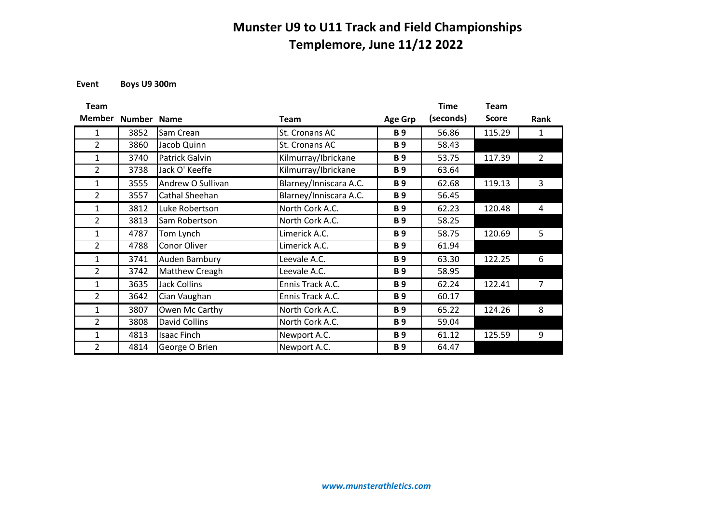**Event Boys U9 300m**

| <b>Team</b>    |             |                      |                        |                       | <b>Time</b> | Team         |                |
|----------------|-------------|----------------------|------------------------|-----------------------|-------------|--------------|----------------|
| <b>Member</b>  | Number Name |                      | <b>Team</b>            | <b>Age Grp</b>        | (seconds)   | <b>Score</b> | Rank           |
| 1              | 3852        | Sam Crean            | St. Cronans AC         | <b>B</b> <sub>9</sub> | 56.86       | 115.29       | 1              |
| $\overline{2}$ | 3860        | Jacob Quinn          | St. Cronans AC         | <b>B</b> <sub>9</sub> | 58.43       |              |                |
| $\mathbf{1}$   | 3740        | Patrick Galvin       | Kilmurray/Ibrickane    | <b>B</b> <sub>9</sub> | 53.75       | 117.39       | $\overline{2}$ |
| $\overline{2}$ | 3738        | Jack O' Keeffe       | Kilmurray/Ibrickane    | <b>B</b> <sub>9</sub> | 63.64       |              |                |
| $\mathbf{1}$   | 3555        | Andrew O Sullivan    | Blarney/Inniscara A.C. | <b>B</b> <sub>9</sub> | 62.68       | 119.13       | 3              |
| $\overline{2}$ | 3557        | Cathal Sheehan       | Blarney/Inniscara A.C. | <b>B</b> <sub>9</sub> | 56.45       |              |                |
| $\mathbf{1}$   | 3812        | Luke Robertson       | North Cork A.C.        | <b>B</b> <sub>9</sub> | 62.23       | 120.48       | 4              |
| $\overline{2}$ | 3813        | Sam Robertson        | North Cork A.C.        | <b>B</b> <sub>9</sub> | 58.25       |              |                |
| $\mathbf{1}$   | 4787        | Tom Lynch            | Limerick A.C.          | <b>B</b> <sub>9</sub> | 58.75       | 120.69       | 5              |
| $\overline{2}$ | 4788        | Conor Oliver         | Limerick A.C.          | <b>B</b> <sub>9</sub> | 61.94       |              |                |
| 1              | 3741        | Auden Bambury        | Leevale A.C.           | <b>B</b> <sub>9</sub> | 63.30       | 122.25       | 6              |
| $\overline{2}$ | 3742        | Matthew Creagh       | Leevale A.C.           | <b>B</b> <sub>9</sub> | 58.95       |              |                |
| 1              | 3635        | <b>Jack Collins</b>  | Ennis Track A.C.       | <b>B</b> <sub>9</sub> | 62.24       | 122.41       | 7              |
| $\overline{2}$ | 3642        | Cian Vaughan         | Ennis Track A.C.       | <b>B</b> <sub>9</sub> | 60.17       |              |                |
| $\mathbf{1}$   | 3807        | Owen Mc Carthy       | North Cork A.C.        | <b>B</b> <sub>9</sub> | 65.22       | 124.26       | 8              |
| $\overline{2}$ | 3808        | <b>David Collins</b> | North Cork A.C.        | <b>B</b> <sub>9</sub> | 59.04       |              |                |
| $\mathbf{1}$   | 4813        | <b>Isaac Finch</b>   | Newport A.C.           | <b>B</b> <sub>9</sub> | 61.12       | 125.59       | 9              |
| $\overline{2}$ | 4814        | George O Brien       | Newport A.C.           | <b>B</b> <sub>9</sub> | 64.47       |              |                |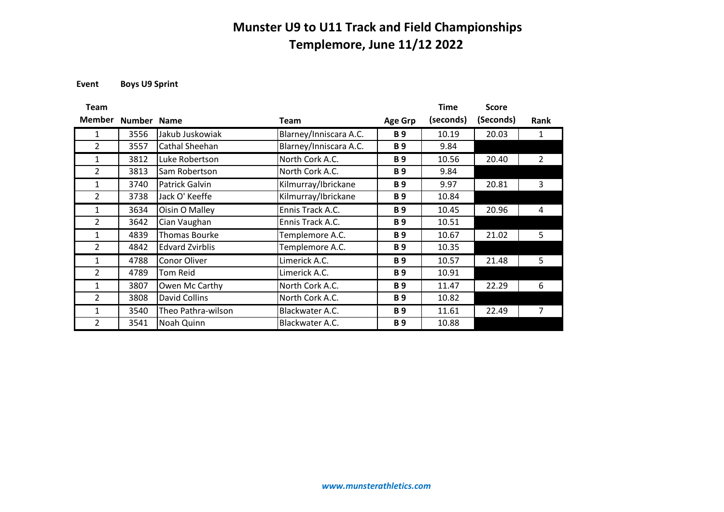**Event Boys U9 Sprint**

| <b>Team</b>    |               |                        |                        |                       | <b>Time</b> | <b>Score</b> |                |
|----------------|---------------|------------------------|------------------------|-----------------------|-------------|--------------|----------------|
| <b>Member</b>  | <b>Number</b> | <b>Name</b>            | <b>Team</b>            | <b>Age Grp</b>        | (seconds)   | (Seconds)    | <b>Rank</b>    |
| 1              | 3556          | Jakub Juskowiak        | Blarney/Inniscara A.C. | <b>B</b> <sub>9</sub> | 10.19       | 20.03        | 1              |
| 2              | 3557          | Cathal Sheehan         | Blarney/Inniscara A.C. | <b>B</b> <sub>9</sub> | 9.84        |              |                |
| $\mathbf{1}$   | 3812          | Luke Robertson         | North Cork A.C.        | <b>B</b> <sub>9</sub> | 10.56       | 20.40        | $\overline{2}$ |
| $\overline{2}$ | 3813          | Sam Robertson          | North Cork A.C.        | <b>B</b> <sub>9</sub> | 9.84        |              |                |
| $\mathbf{1}$   | 3740          | Patrick Galvin         | Kilmurray/Ibrickane    | <b>B</b> <sub>9</sub> | 9.97        | 20.81        | 3              |
| $\overline{2}$ | 3738          | Jack O' Keeffe         | Kilmurray/Ibrickane    | <b>B</b> <sub>9</sub> | 10.84       |              |                |
| 1              | 3634          | Oisin O Malley         | Ennis Track A.C.       | <b>B</b> <sub>9</sub> | 10.45       | 20.96        | 4              |
| 2              | 3642          | Cian Vaughan           | Ennis Track A.C.       | <b>B</b> <sub>9</sub> | 10.51       |              |                |
| 1              | 4839          | Thomas Bourke          | Templemore A.C.        | <b>B</b> <sub>9</sub> | 10.67       | 21.02        | 5              |
| 2              | 4842          | <b>Edvard Zvirblis</b> | Templemore A.C.        | <b>B</b> <sub>9</sub> | 10.35       |              |                |
| 1              | 4788          | Conor Oliver           | Limerick A.C.          | <b>B</b> <sub>9</sub> | 10.57       | 21.48        | 5              |
| 2              | 4789          | <b>Tom Reid</b>        | Limerick A.C.          | <b>B</b> <sub>9</sub> | 10.91       |              |                |
| $\mathbf{1}$   | 3807          | Owen Mc Carthy         | North Cork A.C.        | <b>B</b> <sub>9</sub> | 11.47       | 22.29        | 6              |
| $\overline{2}$ | 3808          | David Collins          | North Cork A.C.        | <b>B</b> <sub>9</sub> | 10.82       |              |                |
| $\mathbf{1}$   | 3540          | Theo Pathra-wilson     | Blackwater A.C.        | <b>B</b> <sub>9</sub> | 11.61       | 22.49        | 7              |
| $\overline{2}$ | 3541          | Noah Quinn             | Blackwater A.C.        | <b>B</b> <sub>9</sub> | 10.88       |              |                |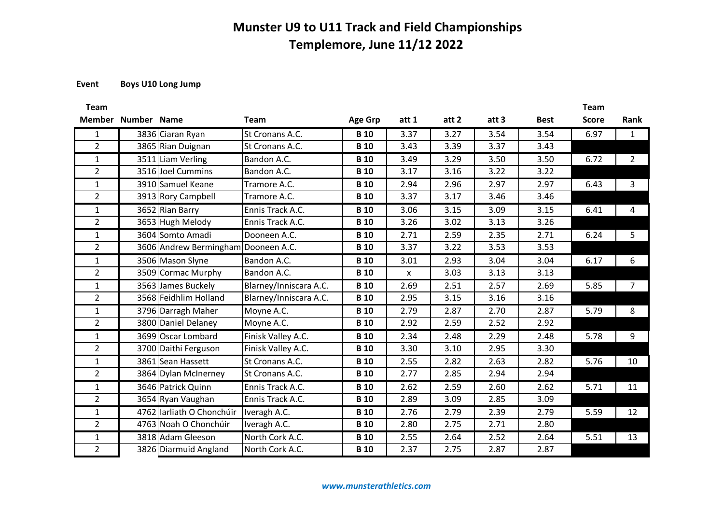### **Event Boys U10 Long Jump**

| Team           |                    |                                     |                        |                |                    |       |       |             | Team         |                |
|----------------|--------------------|-------------------------------------|------------------------|----------------|--------------------|-------|-------|-------------|--------------|----------------|
|                | Member Number Name |                                     | <b>Team</b>            | <b>Age Grp</b> | att 1              | att 2 | att 3 | <b>Best</b> | <b>Score</b> | Rank           |
| $\mathbf{1}$   |                    | 3836 Ciaran Ryan                    | St Cronans A.C.        | <b>B</b> 10    | 3.37               | 3.27  | 3.54  | 3.54        | 6.97         | $\mathbf{1}$   |
| $\overline{2}$ |                    | 3865 Rian Duignan                   | St Cronans A.C.        | <b>B</b> 10    | 3.43               | 3.39  | 3.37  | 3.43        |              |                |
| $\mathbf{1}$   |                    | 3511 Liam Verling                   | Bandon A.C.            | <b>B</b> 10    | 3.49               | 3.29  | 3.50  | 3.50        | 6.72         | $\overline{2}$ |
| $\overline{2}$ |                    | 3516 Joel Cummins                   | Bandon A.C.            | <b>B</b> 10    | 3.17               | 3.16  | 3.22  | 3.22        |              |                |
| $\mathbf{1}$   |                    | 3910 Samuel Keane                   | Tramore A.C.           | <b>B</b> 10    | 2.94               | 2.96  | 2.97  | 2.97        | 6.43         | 3              |
| $2^{\circ}$    |                    | 3913 Rory Campbell                  | Tramore A.C.           | <b>B</b> 10    | 3.37               | 3.17  | 3.46  | 3.46        |              |                |
| $\mathbf{1}$   |                    | 3652 Rian Barry                     | Ennis Track A.C.       | <b>B</b> 10    | 3.06               | 3.15  | 3.09  | 3.15        | 6.41         | 4              |
| $\overline{2}$ |                    | 3653 Hugh Melody                    | Ennis Track A.C.       | <b>B</b> 10    | 3.26               | 3.02  | 3.13  | 3.26        |              |                |
| $\mathbf{1}$   |                    | 3604 Somto Amadi                    | Dooneen A.C.           | <b>B</b> 10    | 2.71               | 2.59  | 2.35  | 2.71        | 6.24         | 5              |
| $2^{\circ}$    |                    | 3606 Andrew Bermingham Dooneen A.C. |                        | <b>B</b> 10    | 3.37               | 3.22  | 3.53  | 3.53        |              |                |
| $\mathbf{1}$   |                    | 3506 Mason Slyne                    | Bandon A.C.            | <b>B</b> 10    | 3.01               | 2.93  | 3.04  | 3.04        | 6.17         | 6              |
| $\overline{2}$ |                    | 3509 Cormac Murphy                  | Bandon A.C.            | <b>B</b> 10    | $\pmb{\mathsf{x}}$ | 3.03  | 3.13  | 3.13        |              |                |
| $\mathbf{1}$   |                    | 3563 James Buckely                  | Blarney/Inniscara A.C. | <b>B</b> 10    | 2.69               | 2.51  | 2.57  | 2.69        | 5.85         | 7              |
| $\overline{2}$ |                    | 3568 Feidhlim Holland               | Blarney/Inniscara A.C. | <b>B</b> 10    | 2.95               | 3.15  | 3.16  | 3.16        |              |                |
| $\mathbf{1}$   |                    | 3796 Darragh Maher                  | Moyne A.C.             | <b>B</b> 10    | 2.79               | 2.87  | 2.70  | 2.87        | 5.79         | 8              |
| $\overline{2}$ |                    | 3800 Daniel Delaney                 | Moyne A.C.             | <b>B</b> 10    | 2.92               | 2.59  | 2.52  | 2.92        |              |                |
| $\mathbf{1}$   |                    | 3699 Oscar Lombard                  | Finisk Valley A.C.     | <b>B</b> 10    | 2.34               | 2.48  | 2.29  | 2.48        | 5.78         | 9              |
| $\overline{2}$ |                    | 3700 Daithi Ferguson                | Finisk Valley A.C.     | <b>B</b> 10    | 3.30               | 3.10  | 2.95  | 3.30        |              |                |
| $\mathbf{1}$   |                    | 3861 Sean Hassett                   | St Cronans A.C.        | <b>B</b> 10    | 2.55               | 2.82  | 2.63  | 2.82        | 5.76         | 10             |
| $2^{\circ}$    |                    | 3864 Dylan McInerney                | St Cronans A.C.        | <b>B</b> 10    | 2.77               | 2.85  | 2.94  | 2.94        |              |                |
| $\mathbf{1}$   |                    | 3646 Patrick Quinn                  | Ennis Track A.C.       | <b>B</b> 10    | 2.62               | 2.59  | 2.60  | 2.62        | 5.71         | 11             |
| $\overline{2}$ |                    | 3654 Ryan Vaughan                   | Ennis Track A.C.       | <b>B</b> 10    | 2.89               | 3.09  | 2.85  | 3.09        |              |                |
| $\mathbf{1}$   |                    | 4762 larliath O Chonchúir           | Iveragh A.C.           | <b>B</b> 10    | 2.76               | 2.79  | 2.39  | 2.79        | 5.59         | 12             |
| $\overline{2}$ |                    | 4763 Noah O Chonchúir               | Iveragh A.C.           | <b>B</b> 10    | 2.80               | 2.75  | 2.71  | 2.80        |              |                |
| $\mathbf{1}$   |                    | 3818 Adam Gleeson                   | North Cork A.C.        | <b>B</b> 10    | 2.55               | 2.64  | 2.52  | 2.64        | 5.51         | 13             |
| $\overline{2}$ |                    | 3826 Diarmuid Angland               | North Cork A.C.        | <b>B</b> 10    | 2.37               | 2.75  | 2.87  | 2.87        |              |                |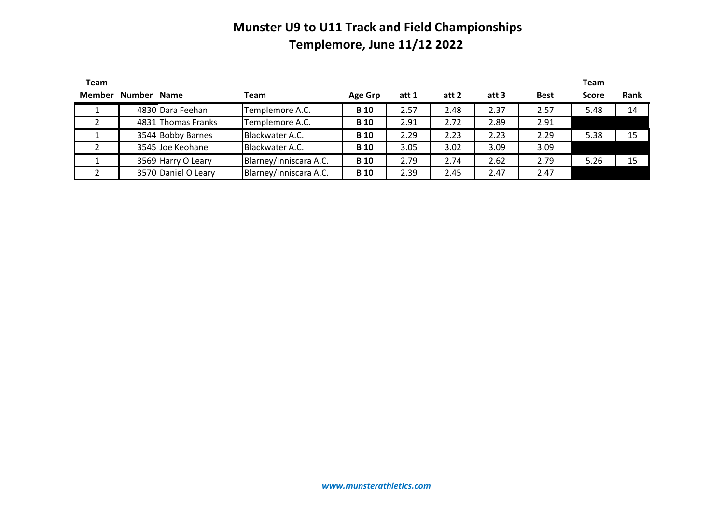| <b>Team</b> |                    |                     |                        |             |       |       |       |             | <b>Team</b>  |      |
|-------------|--------------------|---------------------|------------------------|-------------|-------|-------|-------|-------------|--------------|------|
|             | Member Number Name |                     | Team                   | Age Grp     | att 1 | att 2 | att 3 | <b>Best</b> | <b>Score</b> | Rank |
|             |                    | 4830 Dara Feehan    | Templemore A.C.        | <b>B</b> 10 | 2.57  | 2.48  | 2.37  | 2.57        | 5.48         | 14   |
|             |                    | 4831 Thomas Franks  | Templemore A.C.        | <b>B</b> 10 | 2.91  | 2.72  | 2.89  | 2.91        |              |      |
|             |                    | 3544 Bobby Barnes   | Blackwater A.C.        | <b>B</b> 10 | 2.29  | 2.23  | 2.23  | 2.29        | 5.38         | 15   |
|             |                    | 3545 Joe Keohane    | Blackwater A.C.        | <b>B</b> 10 | 3.05  | 3.02  | 3.09  | 3.09        |              |      |
|             |                    | 3569 Harry O Leary  | Blarney/Inniscara A.C. | <b>B</b> 10 | 2.79  | 2.74  | 2.62  | 2.79        | 5.26         | 15   |
|             |                    | 3570 Daniel O Leary | Blarney/Inniscara A.C. | <b>B</b> 10 | 2.39  | 2.45  | 2.47  | 2.47        |              |      |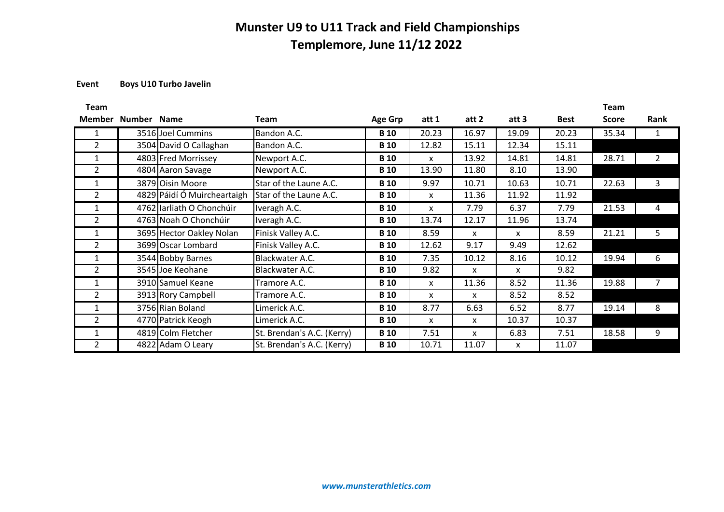### **Event Boys U10 Turbo Javelin**

| Team           |             |                             |                            |                |       |                           |       |             | Team         |      |
|----------------|-------------|-----------------------------|----------------------------|----------------|-------|---------------------------|-------|-------------|--------------|------|
| Member         | Number Name |                             | Team                       | <b>Age Grp</b> | att 1 | att 2                     | att 3 | <b>Best</b> | <b>Score</b> | Rank |
|                |             | 3516 Joel Cummins           | Bandon A.C.                | <b>B</b> 10    | 20.23 | 16.97                     | 19.09 | 20.23       | 35.34        |      |
| $\overline{2}$ |             | 3504 David O Callaghan      | Bandon A.C.                | <b>B</b> 10    | 12.82 | 15.11                     | 12.34 | 15.11       |              |      |
| $\mathbf{1}$   |             | 4803 Fred Morrissey         | Newport A.C.               | <b>B</b> 10    | X     | 13.92                     | 14.81 | 14.81       | 28.71        | 2    |
| $\overline{2}$ |             | 4804 Aaron Savage           | Newport A.C.               | <b>B</b> 10    | 13.90 | 11.80                     | 8.10  | 13.90       |              |      |
| 1              |             | 3879 Oisin Moore            | Star of the Laune A.C.     | <b>B</b> 10    | 9.97  | 10.71                     | 10.63 | 10.71       | 22.63        | 3    |
| $\overline{2}$ |             | 4829 Páidí Ó Muircheartaigh | Star of the Laune A.C.     | <b>B</b> 10    | X     | 11.36                     | 11.92 | 11.92       |              |      |
| 1              |             | 4762 Iarliath O Chonchúir   | Iveragh A.C.               | <b>B</b> 10    | X     | 7.79                      | 6.37  | 7.79        | 21.53        | 4    |
| $\overline{2}$ |             | 4763 Noah O Chonchúir       | Iveragh A.C.               | <b>B</b> 10    | 13.74 | 12.17                     | 11.96 | 13.74       |              |      |
| 1              |             | 3695 Hector Oakley Nolan    | Finisk Valley A.C.         | <b>B</b> 10    | 8.59  | X                         | X     | 8.59        | 21.21        | 5    |
| $\overline{2}$ |             | 3699 Oscar Lombard          | Finisk Valley A.C.         | <b>B</b> 10    | 12.62 | 9.17                      | 9.49  | 12.62       |              |      |
| 1              |             | 3544 Bobby Barnes           | Blackwater A.C.            | <b>B</b> 10    | 7.35  | 10.12                     | 8.16  | 10.12       | 19.94        | 6    |
| 2              |             | 3545 Joe Keohane            | Blackwater A.C.            | <b>B</b> 10    | 9.82  | X                         | X     | 9.82        |              |      |
| 1              |             | 3910 Samuel Keane           | Tramore A.C.               | <b>B</b> 10    | X     | 11.36                     | 8.52  | 11.36       | 19.88        | 7    |
| $\overline{2}$ |             | 3913 Rory Campbell          | Tramore A.C.               | <b>B</b> 10    | X     | $\boldsymbol{\mathsf{x}}$ | 8.52  | 8.52        |              |      |
| 1              |             | 3756 Rian Boland            | Limerick A.C.              | <b>B</b> 10    | 8.77  | 6.63                      | 6.52  | 8.77        | 19.14        | 8    |
| $\overline{2}$ |             | 4770 Patrick Keogh          | Limerick A.C.              | <b>B</b> 10    | X     | $\mathsf{x}$              | 10.37 | 10.37       |              |      |
| 1              |             | 4819 Colm Fletcher          | St. Brendan's A.C. (Kerry) | <b>B</b> 10    | 7.51  | X                         | 6.83  | 7.51        | 18.58        | 9    |
| $\overline{2}$ |             | 4822 Adam O Leary           | St. Brendan's A.C. (Kerry) | <b>B</b> 10    | 10.71 | 11.07                     | X     | 11.07       |              |      |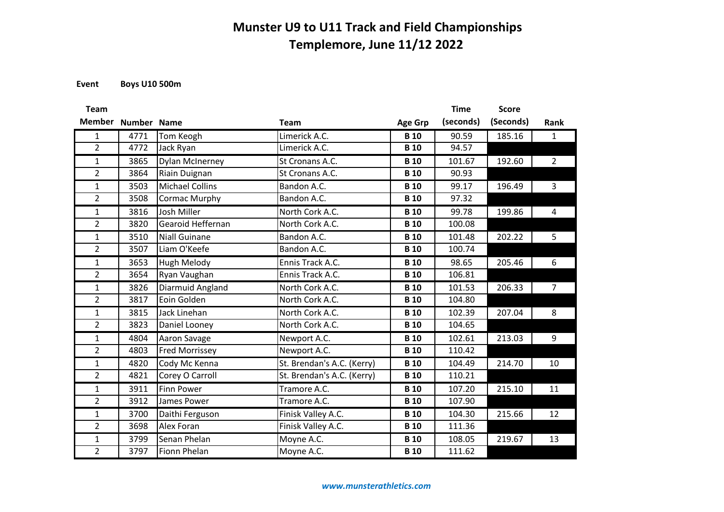**Event Boys U10 500m**

| <b>Team</b>    |             |                        |                            |                | <b>Time</b> | <b>Score</b> |                |
|----------------|-------------|------------------------|----------------------------|----------------|-------------|--------------|----------------|
| <b>Member</b>  | Number Name |                        | <b>Team</b>                | <b>Age Grp</b> | (seconds)   | (Seconds)    | Rank           |
| $\mathbf{1}$   | 4771        | Tom Keogh              | Limerick A.C.              | <b>B</b> 10    | 90.59       | 185.16       | $\mathbf{1}$   |
| $\overline{2}$ | 4772        | Jack Ryan              | Limerick A.C.              | <b>B</b> 10    | 94.57       |              |                |
| 1              | 3865        | <b>Dylan McInerney</b> | St Cronans A.C.            | <b>B</b> 10    | 101.67      | 192.60       | $\overline{2}$ |
| $\overline{2}$ | 3864        | Riain Duignan          | St Cronans A.C.            | <b>B</b> 10    | 90.93       |              |                |
| 1              | 3503        | <b>Michael Collins</b> | Bandon A.C.                | <b>B</b> 10    | 99.17       | 196.49       | $\mathbf{3}$   |
| $\overline{2}$ | 3508        | Cormac Murphy          | Bandon A.C.                | <b>B</b> 10    | 97.32       |              |                |
| $\mathbf{1}$   | 3816        | Josh Miller            | North Cork A.C.            | <b>B</b> 10    | 99.78       | 199.86       | $\overline{4}$ |
| $\overline{2}$ | 3820        | Gearoid Heffernan      | North Cork A.C.            | <b>B</b> 10    | 100.08      |              |                |
| $\mathbf{1}$   | 3510        | <b>Niall Guinane</b>   | Bandon A.C.                | <b>B</b> 10    | 101.48      | 202.22       | 5              |
| $\overline{2}$ | 3507        | Liam O'Keefe           | Bandon A.C.                | <b>B</b> 10    | 100.74      |              |                |
| $\mathbf{1}$   | 3653        | Hugh Melody            | Ennis Track A.C.           | <b>B</b> 10    | 98.65       | 205.46       | 6              |
| $\overline{2}$ | 3654        | Ryan Vaughan           | Ennis Track A.C.           | <b>B</b> 10    | 106.81      |              |                |
| 1              | 3826        | Diarmuid Angland       | North Cork A.C.            | <b>B</b> 10    | 101.53      | 206.33       | $\overline{7}$ |
| $\overline{2}$ | 3817        | Eoin Golden            | North Cork A.C.            | <b>B</b> 10    | 104.80      |              |                |
| 1              | 3815        | Jack Linehan           | North Cork A.C.            | <b>B</b> 10    | 102.39      | 207.04       | 8              |
| $\overline{2}$ | 3823        | Daniel Looney          | North Cork A.C.            | <b>B</b> 10    | 104.65      |              |                |
| $\mathbf{1}$   | 4804        | Aaron Savage           | Newport A.C.               | <b>B</b> 10    | 102.61      | 213.03       | 9              |
| $\overline{2}$ | 4803        | <b>Fred Morrissey</b>  | Newport A.C.               | <b>B</b> 10    | 110.42      |              |                |
| 1              | 4820        | Cody Mc Kenna          | St. Brendan's A.C. (Kerry) | <b>B</b> 10    | 104.49      | 214.70       | 10             |
| $\overline{2}$ | 4821        | Corey O Carroll        | St. Brendan's A.C. (Kerry) | <b>B</b> 10    | 110.21      |              |                |
| 1              | 3911        | <b>Finn Power</b>      | Tramore A.C.               | <b>B</b> 10    | 107.20      | 215.10       | 11             |
| $\overline{2}$ | 3912        | James Power            | Tramore A.C.               | <b>B</b> 10    | 107.90      |              |                |
| 1              | 3700        | Daithi Ferguson        | Finisk Valley A.C.         | <b>B</b> 10    | 104.30      | 215.66       | 12             |
| $\overline{2}$ | 3698        | Alex Foran             | Finisk Valley A.C.         | <b>B</b> 10    | 111.36      |              |                |
| 1              | 3799        | Senan Phelan           | Moyne A.C.                 | <b>B</b> 10    | 108.05      | 219.67       | 13             |
| $\overline{2}$ | 3797        | <b>Fionn Phelan</b>    | Moyne A.C.                 | <b>B</b> 10    | 111.62      |              |                |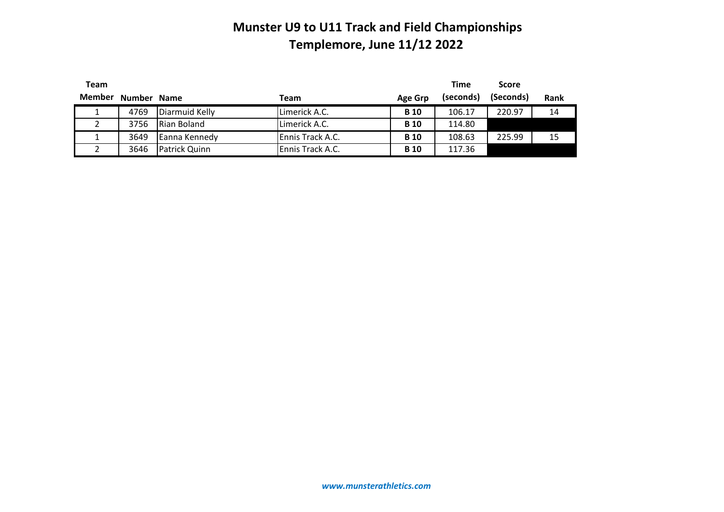| Team   |             |                |                  |                | <b>Time</b> | <b>Score</b> |      |
|--------|-------------|----------------|------------------|----------------|-------------|--------------|------|
| Member | Number Name |                | Team             | <b>Age Grp</b> | (seconds)   | (Seconds)    | Rank |
|        | 4769        | Diarmuid Kelly | Limerick A.C.    | <b>B</b> 10    | 106.17      | 220.97       | 14   |
|        | 3756        | Rian Boland    | Limerick A.C.    | <b>B</b> 10    | 114.80      |              |      |
|        | 3649        | Eanna Kennedy  | Ennis Track A.C. | <b>B</b> 10    | 108.63      | 225.99       | 15   |
|        | 3646        | Patrick Quinn  | Ennis Track A.C. | <b>B</b> 10    | 117.36      |              |      |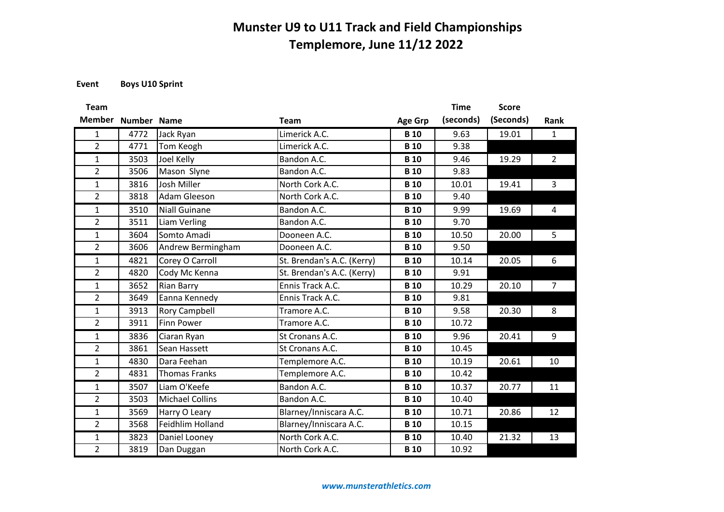**Event Boys U10 Sprint**

| <b>Team</b>    |                    |                        |                            |                | <b>Time</b> | <b>Score</b> |                |
|----------------|--------------------|------------------------|----------------------------|----------------|-------------|--------------|----------------|
| <b>Member</b>  | <b>Number Name</b> |                        | <b>Team</b>                | <b>Age Grp</b> | (seconds)   | (Seconds)    | Rank           |
| $\mathbf{1}$   | 4772               | Jack Ryan              | Limerick A.C.              | <b>B</b> 10    | 9.63        | 19.01        | $\mathbf{1}$   |
| $\overline{2}$ | 4771               | Tom Keogh              | Limerick A.C.              | <b>B</b> 10    | 9.38        |              |                |
| $\mathbf{1}$   | 3503               | Joel Kelly             | Bandon A.C.                | <b>B</b> 10    | 9.46        | 19.29        | $\overline{2}$ |
| $\overline{2}$ | 3506               | Mason Slyne            | Bandon A.C.                | <b>B</b> 10    | 9.83        |              |                |
| $\mathbf{1}$   | 3816               | Josh Miller            | North Cork A.C.            | <b>B</b> 10    | 10.01       | 19.41        | $\overline{3}$ |
| $\overline{2}$ | 3818               | Adam Gleeson           | North Cork A.C.            | <b>B</b> 10    | 9.40        |              |                |
| $\mathbf{1}$   | 3510               | <b>Niall Guinane</b>   | Bandon A.C.                | <b>B</b> 10    | 9.99        | 19.69        | $\overline{4}$ |
| $\overline{2}$ | 3511               | Liam Verling           | Bandon A.C.                | <b>B</b> 10    | 9.70        |              |                |
| $\mathbf{1}$   | 3604               | Somto Amadi            | Dooneen A.C.               | <b>B</b> 10    | 10.50       | 20.00        | 5              |
| $\overline{2}$ | 3606               | Andrew Bermingham      | Dooneen A.C.               | <b>B</b> 10    | 9.50        |              |                |
| $\mathbf{1}$   | 4821               | Corey O Carroll        | St. Brendan's A.C. (Kerry) | <b>B</b> 10    | 10.14       | 20.05        | 6              |
| $\overline{2}$ | 4820               | Cody Mc Kenna          | St. Brendan's A.C. (Kerry) | <b>B</b> 10    | 9.91        |              |                |
| $\mathbf{1}$   | 3652               | <b>Rian Barry</b>      | Ennis Track A.C.           | <b>B</b> 10    | 10.29       | 20.10        | $\overline{7}$ |
| $\overline{2}$ | 3649               | Eanna Kennedy          | Ennis Track A.C.           | <b>B</b> 10    | 9.81        |              |                |
| $\mathbf{1}$   | 3913               | <b>Rory Campbell</b>   | Tramore A.C.               | <b>B</b> 10    | 9.58        | 20.30        | 8              |
| $\overline{2}$ | 3911               | <b>Finn Power</b>      | Tramore A.C.               | <b>B</b> 10    | 10.72       |              |                |
| $\mathbf{1}$   | 3836               | Ciaran Ryan            | St Cronans A.C.            | <b>B</b> 10    | 9.96        | 20.41        | 9              |
| $\overline{2}$ | 3861               | Sean Hassett           | St Cronans A.C.            | <b>B</b> 10    | 10.45       |              |                |
| $\mathbf{1}$   | 4830               | Dara Feehan            | Templemore A.C.            | <b>B</b> 10    | 10.19       | 20.61        | 10             |
| $\overline{2}$ | 4831               | <b>Thomas Franks</b>   | Templemore A.C.            | <b>B</b> 10    | 10.42       |              |                |
| $\mathbf{1}$   | 3507               | Liam O'Keefe           | Bandon A.C.                | <b>B</b> 10    | 10.37       | 20.77        | 11             |
| $\overline{2}$ | 3503               | <b>Michael Collins</b> | Bandon A.C.                | <b>B</b> 10    | 10.40       |              |                |
| 1              | 3569               | Harry O Leary          | Blarney/Inniscara A.C.     | <b>B</b> 10    | 10.71       | 20.86        | 12             |
| $\overline{2}$ | 3568               | Feidhlim Holland       | Blarney/Inniscara A.C.     | <b>B</b> 10    | 10.15       |              |                |
| $\mathbf{1}$   | 3823               | Daniel Looney          | North Cork A.C.            | <b>B</b> 10    | 10.40       | 21.32        | 13             |
| $\overline{2}$ | 3819               | Dan Duggan             | North Cork A.C.            | <b>B</b> 10    | 10.92       |              |                |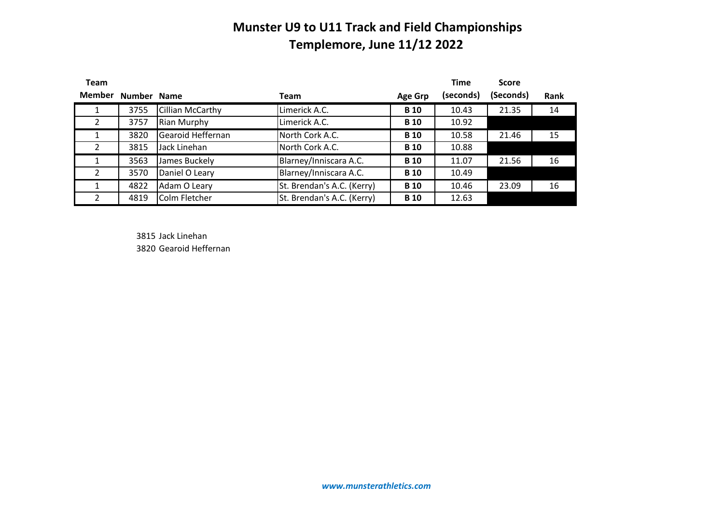| <b>Team</b>              |             |                    |                            |                | <b>Time</b> | <b>Score</b> |      |
|--------------------------|-------------|--------------------|----------------------------|----------------|-------------|--------------|------|
| <b>Member</b>            | Number Name |                    | Team                       | <b>Age Grp</b> | (seconds)   | (Seconds)    | Rank |
| T.                       | 3755        | Cillian McCarthy   | Limerick A.C.              | <b>B</b> 10    | 10.43       | 21.35        | 14   |
| 2                        | 3757        | <b>Rian Murphy</b> | Limerick A.C.              | <b>B</b> 10    | 10.92       |              |      |
|                          | 3820        | Gearoid Heffernan  | North Cork A.C.            | <b>B</b> 10    | 10.58       | 21.46        | 15   |
| 2                        | 3815        | Jack Linehan       | North Cork A.C.            | <b>B</b> 10    | 10.88       |              |      |
|                          | 3563        | James Buckely      | Blarney/Inniscara A.C.     | <b>B</b> 10    | 11.07       | 21.56        | 16   |
| $\overline{\phantom{a}}$ | 3570        | Daniel O Leary     | Blarney/Inniscara A.C.     | <b>B</b> 10    | 10.49       |              |      |
|                          | 4822        | Adam O Leary       | St. Brendan's A.C. (Kerry) | <b>B</b> 10    | 10.46       | 23.09        | 16   |
| $\mathfrak{p}$           | 4819        | Colm Fletcher      | St. Brendan's A.C. (Kerry) | <b>B</b> 10    | 12.63       |              |      |

3815 Jack Linehan 3820 Gearoid Heffernan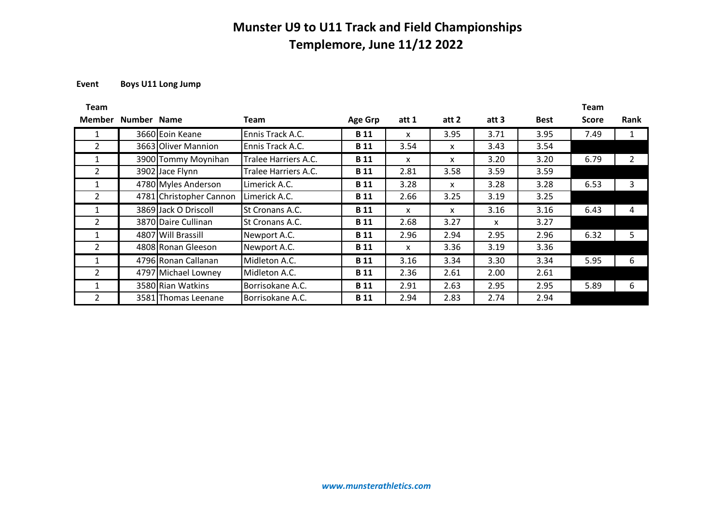### **Event Boys U11 Long Jump**

| Team               |                         |                      |                |       |       |       |             | <b>Team</b> |                |
|--------------------|-------------------------|----------------------|----------------|-------|-------|-------|-------------|-------------|----------------|
| Member Number Name |                         | Team                 | <b>Age Grp</b> | att 1 | att 2 | att 3 | <b>Best</b> | Score       | <b>Rank</b>    |
|                    | 3660 Eoin Keane         | Ennis Track A.C.     | <b>B</b> 11    | X     | 3.95  | 3.71  | 3.95        | 7.49        | 1              |
| $\overline{2}$     | 3663 Oliver Mannion     | Ennis Track A.C.     | <b>B</b> 11    | 3.54  | X     | 3.43  | 3.54        |             |                |
| 1                  | 3900 Tommy Moynihan     | Tralee Harriers A.C. | <b>B</b> 11    | X     | x     | 3.20  | 3.20        | 6.79        | $\overline{2}$ |
| $\overline{2}$     | 3902 Jace Flynn         | Tralee Harriers A.C. | <b>B</b> 11    | 2.81  | 3.58  | 3.59  | 3.59        |             |                |
| 1                  | 4780 Myles Anderson     | Limerick A.C.        | <b>B</b> 11    | 3.28  | X     | 3.28  | 3.28        | 6.53        | 3              |
| $\mathcal{P}$      | 4781 Christopher Cannon | Limerick A.C.        | <b>B</b> 11    | 2.66  | 3.25  | 3.19  | 3.25        |             |                |
|                    | 3869 Jack O Driscoll    | St Cronans A.C.      | <b>B</b> 11    | X     | X     | 3.16  | 3.16        | 6.43        | 4              |
| $\overline{2}$     | 3870 Daire Cullinan     | St Cronans A.C.      | <b>B</b> 11    | 2.68  | 3.27  | X     | 3.27        |             |                |
|                    | 4807 Will Brassill      | Newport A.C.         | <b>B</b> 11    | 2.96  | 2.94  | 2.95  | 2.96        | 6.32        | 5              |
| $\overline{2}$     | 4808 Ronan Gleeson      | Newport A.C.         | <b>B</b> 11    | X     | 3.36  | 3.19  | 3.36        |             |                |
| 1                  | 4796 Ronan Callanan     | Midleton A.C.        | <b>B</b> 11    | 3.16  | 3.34  | 3.30  | 3.34        | 5.95        | 6              |
| $\overline{2}$     | 4797 Michael Lowney     | Midleton A.C.        | <b>B</b> 11    | 2.36  | 2.61  | 2.00  | 2.61        |             |                |
|                    | 3580 Rian Watkins       | Borrisokane A.C.     | <b>B</b> 11    | 2.91  | 2.63  | 2.95  | 2.95        | 5.89        | 6              |
| $\mathcal{L}$      | 3581 Thomas Leenane     | Borrisokane A.C.     | <b>B</b> 11    | 2.94  | 2.83  | 2.74  | 2.94        |             |                |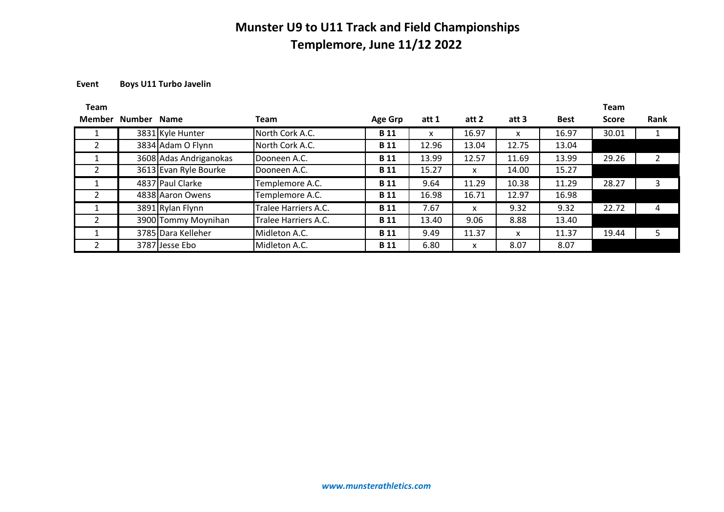### **Event Boys U11 Turbo Javelin**

| <b>Team</b> |             |                        |                      |                |       |       |       |             | <b>Team</b>  |      |
|-------------|-------------|------------------------|----------------------|----------------|-------|-------|-------|-------------|--------------|------|
| Member      | Number Name |                        | Team                 | <b>Age Grp</b> | att 1 | att 2 | att 3 | <b>Best</b> | <b>Score</b> | Rank |
|             |             | 3831 Kyle Hunter       | North Cork A.C.      | <b>B</b> 11    | x     | 16.97 | x     | 16.97       | 30.01        |      |
|             |             | 3834 Adam O Flynn      | North Cork A.C.      | <b>B</b> 11    | 12.96 | 13.04 | 12.75 | 13.04       |              |      |
|             |             | 3608 Adas Andriganokas | Dooneen A.C.         | <b>B</b> 11    | 13.99 | 12.57 | 11.69 | 13.99       | 29.26        |      |
|             |             | 3613 Evan Ryle Bourke  | Dooneen A.C.         | <b>B</b> 11    | 15.27 | X     | 14.00 | 15.27       |              |      |
|             |             | 4837 Paul Clarke       | Templemore A.C.      | <b>B</b> 11    | 9.64  | 11.29 | 10.38 | 11.29       | 28.27        | 3    |
|             |             | 4838 Aaron Owens       | Templemore A.C.      | <b>B</b> 11    | 16.98 | 16.71 | 12.97 | 16.98       |              |      |
|             |             | 3891 Rylan Flynn       | Tralee Harriers A.C. | <b>B</b> 11    | 7.67  | X     | 9.32  | 9.32        | 22.72        | 4    |
|             |             | 3900 Tommy Moynihan    | Tralee Harriers A.C. | <b>B</b> 11    | 13.40 | 9.06  | 8.88  | 13.40       |              |      |
|             |             | 3785 Dara Kelleher     | Midleton A.C.        | <b>B</b> 11    | 9.49  | 11.37 | X     | 11.37       | 19.44        |      |
|             |             | 3787 Jesse Ebo         | Midleton A.C.        | <b>B</b> 11    | 6.80  | X     | 8.07  | 8.07        |              |      |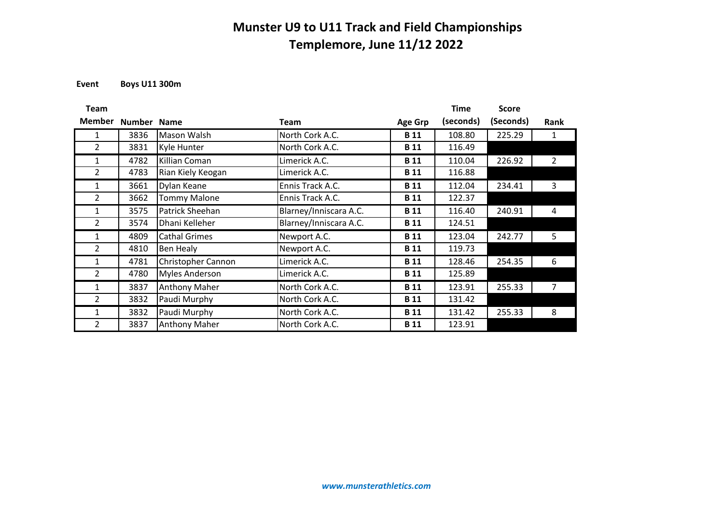**Event Boys U11 300m**

| <b>Team</b>    |             |                      |                        |                | <b>Time</b> | <b>Score</b> |                |
|----------------|-------------|----------------------|------------------------|----------------|-------------|--------------|----------------|
| <b>Member</b>  | Number Name |                      | <b>Team</b>            | <b>Age Grp</b> | (seconds)   | (Seconds)    | Rank           |
| 1              | 3836        | Mason Walsh          | North Cork A.C.        | <b>B</b> 11    | 108.80      | 225.29       | $\mathbf{1}$   |
| $\overline{2}$ | 3831        | Kyle Hunter          | North Cork A.C.        | <b>B</b> 11    | 116.49      |              |                |
| 1              | 4782        | Killian Coman        | Limerick A.C.          | <b>B</b> 11    | 110.04      | 226.92       | $\overline{2}$ |
| $\overline{2}$ | 4783        | Rian Kiely Keogan    | Limerick A.C.          | <b>B</b> 11    | 116.88      |              |                |
| 1              | 3661        | Dylan Keane          | Ennis Track A.C.       | <b>B</b> 11    | 112.04      | 234.41       | 3              |
| $\overline{2}$ | 3662        | <b>Tommy Malone</b>  | Ennis Track A.C.       | <b>B</b> 11    | 122.37      |              |                |
| 1              | 3575        | Patrick Sheehan      | Blarney/Inniscara A.C. | <b>B</b> 11    | 116.40      | 240.91       | 4              |
| 2              | 3574        | Dhani Kelleher       | Blarney/Inniscara A.C. | <b>B</b> 11    | 124.51      |              |                |
| 1              | 4809        | <b>Cathal Grimes</b> | Newport A.C.           | <b>B</b> 11    | 123.04      | 242.77       | 5              |
| 2              | 4810        | Ben Healy            | Newport A.C.           | <b>B</b> 11    | 119.73      |              |                |
| $\mathbf{1}$   | 4781        | Christopher Cannon   | Limerick A.C.          | <b>B</b> 11    | 128.46      | 254.35       | 6              |
| 2              | 4780        | Myles Anderson       | Limerick A.C.          | <b>B</b> 11    | 125.89      |              |                |
| $\mathbf{1}$   | 3837        | Anthony Maher        | North Cork A.C.        | <b>B</b> 11    | 123.91      | 255.33       | 7              |
| 2              | 3832        | Paudi Murphy         | North Cork A.C.        | <b>B</b> 11    | 131.42      |              |                |
| 1              | 3832        | Paudi Murphy         | North Cork A.C.        | <b>B</b> 11    | 131.42      | 255.33       | 8              |
| $\overline{2}$ | 3837        | <b>Anthony Maher</b> | North Cork A.C.        | <b>B</b> 11    | 123.91      |              |                |